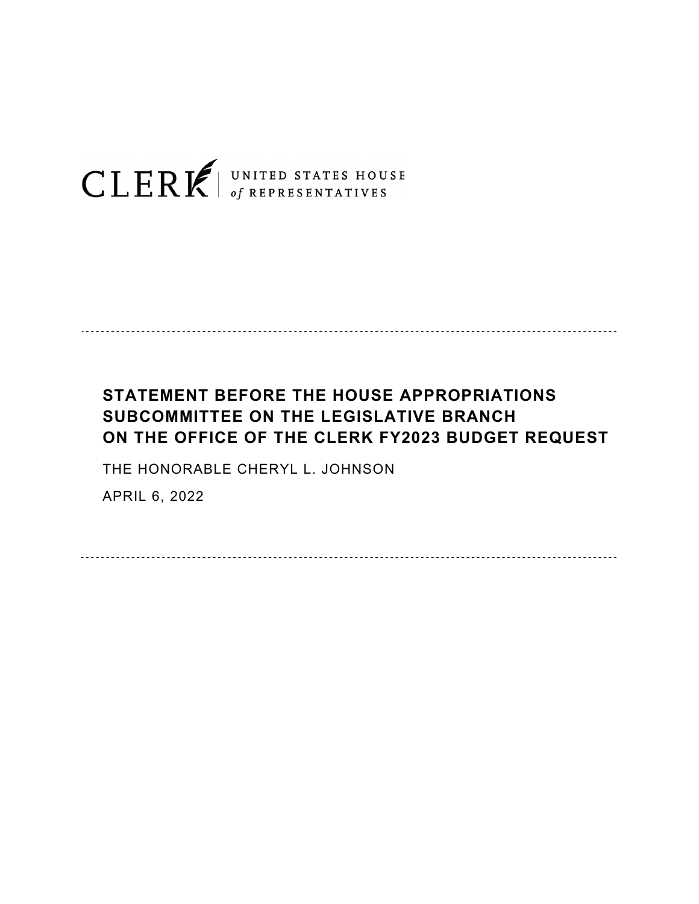

## **STATEMENT BEFORE THE HOUSE APPROPRIATIONS SUBCOMMITTEE ON THE LEGISLATIVE BRANCH ON THE OFFICE OF THE CLERK FY2023 BUDGET REQUEST**

THE HONORABLE CHERYL L. JOHNSON

APRIL 6, 2022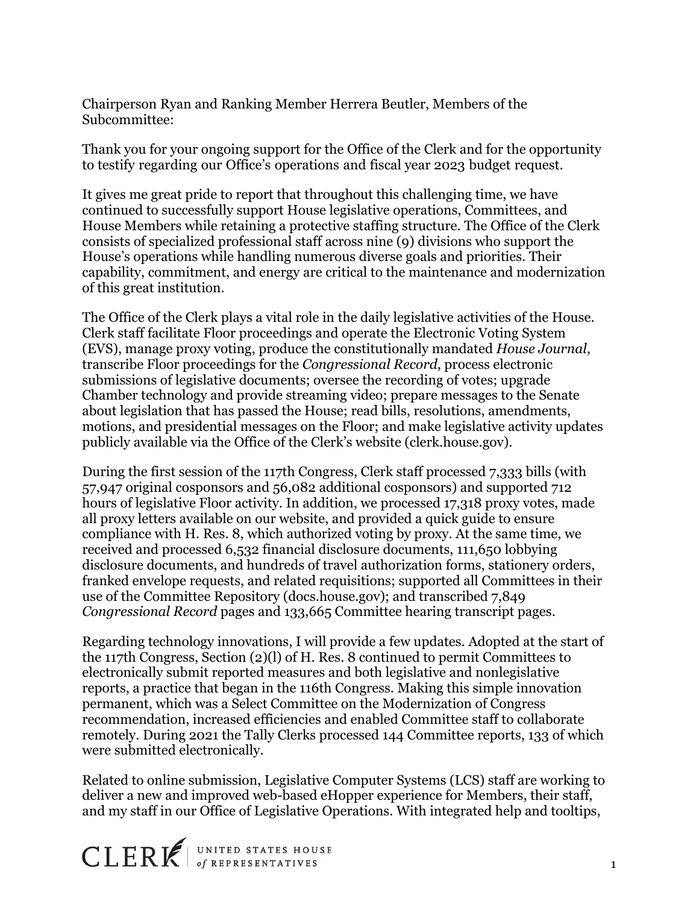Chairperson Ryan and Ranking Member Herrera Beutler, Members of the Subcommittee:

Thank you for your ongoing support for the Office of the Clerk and for the opportunity to testify regarding our Office's operations and fiscal year 2023 budget request.

It gives me great pride to report that throughout this challenging time, we have continued to successfully support House legislative operations, Committees, and House Members while retaining a protective staffing structure. The Office of the Clerk consists of specialized professional staff across nine (9) divisions who support the House's operations while handling numerous diverse goals and priorities. Their capability, commitment, and energy are critical to the maintenance and modernization of this great institution.

The Office of the Clerk plays a vital role in the daily legislative activities of the House. Clerk staff facilitate Floor proceedings and operate the Electronic Voting System (EVS), manage proxy voting, produce the constitutionally mandated *House Journal*, transcribe Floor proceedings for the *Congressional Record*, process electronic submissions of legislative documents; oversee the recording of votes; upgrade Chamber technology and provide streaming video; prepare messages to the Senate about legislation that has passed the House; read bills, resolutions, amendments, motions, and presidential messages on the Floor; and make legislative activity updates publicly available via the Office of the Clerk's website (clerk.house.gov).

During the first session of the 117th Congress, Clerk staff processed 7,333 bills (with 57,947 original cosponsors and 56,082 additional cosponsors) and supported 712 hours of legislative Floor activity. In addition, we processed 17,318 proxy votes, made all proxy letters available on our website, and provided a quick guide to ensure compliance with H. Res. 8, which authorized voting by proxy. At the same time, we received and processed 6,532 financial disclosure documents, 111,650 lobbying disclosure documents, and hundreds of travel authorization forms, stationery orders, franked envelope requests, and related requisitions; supported all Committees in their use of the Committee Repository (docs.house.gov); and transcribed 7,849 *Congressional Record* pages and 133,665 Committee hearing transcript pages.

Regarding technology innovations, I will provide a few updates. Adopted at the start of the 117th Congress, Section (2)(l) of H. Res. 8 continued to permit Committees to electronically submit reported measures and both legislative and nonlegislative reports, a practice that began in the 116th Congress. Making this simple innovation permanent, which was a Select Committee on the Modernization of Congress recommendation, increased efficiencies and enabled Committee staff to collaborate remotely. During 2021 the Tally Clerks processed 144 Committee reports, 133 of which were submitted electronically.

Related to online submission, Legislative Computer Systems (LCS) staff are working to deliver a new and improved web-based eHopper experience for Members, their staff, and my staff in our Office of Legislative Operations. With integrated help and tooltips,

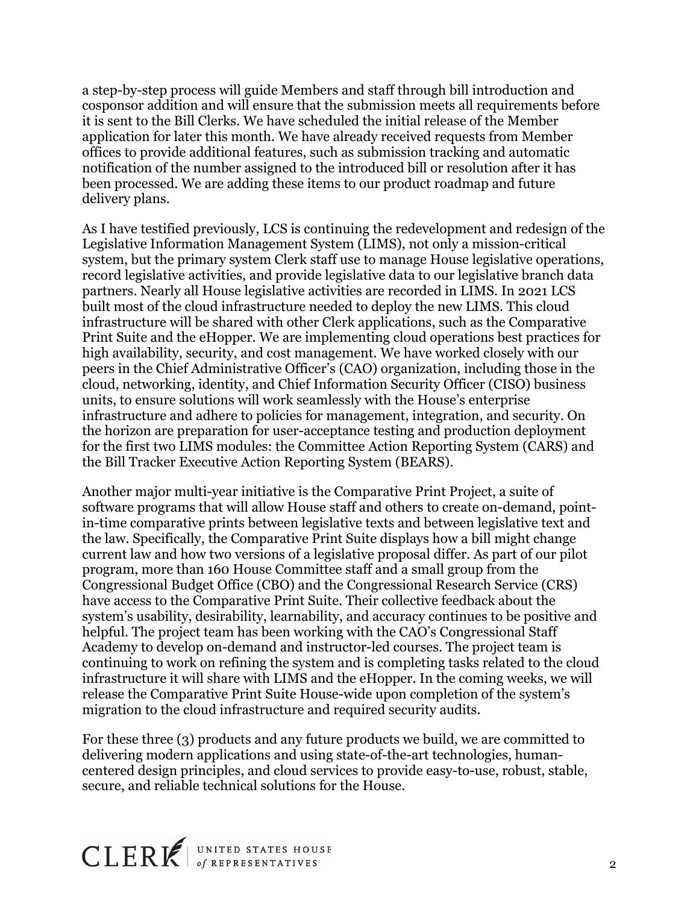a step-by-step process will guide Members and staff through bill introduction and cosponsor addition and will ensure that the submission meets all requirements before it is sent to the Bill Clerks. We have scheduled the initial release of the Member application for later this month. We have already received requests from Member offices to provide additional features, such as submission tracking and automatic notification of the number assigned to the introduced bill or resolution after it has been processed. We are adding these items to our product roadmap and future delivery plans.

As I have testified previously, LCS is continuing the redevelopment and redesign of the Legislative Information Management System (LIMS), not only a mission-critical system, but the primary system Clerk staff use to manage House legislative operations, record legislative activities, and provide legislative data to our legislative branch data partners. Nearly all House legislative activities are recorded in LIMS. In 2021 LCS built most of the cloud infrastructure needed to deploy the new LIMS. This cloud infrastructure will be shared with other Clerk applications, such as the Comparative Print Suite and the eHopper. We are implementing cloud operations best practices for high availability, security, and cost management. We have worked closely with our peers in the Chief Administrative Officer's (CAO) organization, including those in the cloud, networking, identity, and Chief Information Security Officer (CISO) business units, to ensure solutions will work seamlessly with the House's enterprise infrastructure and adhere to policies for management, integration, and security. On the horizon are preparation for user-acceptance testing and production deployment for the first two LIMS modules: the Committee Action Reporting System (CARS) and the Bill Tracker Executive Action Reporting System (BEARS).

Another major multi-year initiative is the Comparative Print Project, a suite of software programs that will allow House staff and others to create on-demand, pointin-time comparative prints between legislative texts and between legislative text and the law. Specifically, the Comparative Print Suite displays how a bill might change current law and how two versions of a legislative proposal differ. As part of our pilot program, more than 160 House Committee staff and a small group from the Congressional Budget Office (CBO) and the Congressional Research Service (CRS) have access to the Comparative Print Suite. Their collective feedback about the system's usability, desirability, learnability, and accuracy continues to be positive and helpful. The project team has been working with the CAO's Congressional Staff Academy to develop on-demand and instructor-led courses. The project team is continuing to work on refining the system and is completing tasks related to the cloud infrastructure it will share with LIMS and the eHopper. In the coming weeks, we will release the Comparative Print Suite House-wide upon completion of the system's migration to the cloud infrastructure and required security audits.

For these three (3) products and any future products we build, we are committed to delivering modern applications and using state-of-the-art technologies, humancentered design principles, and cloud services to provide easy-to-use, robust, stable, secure, and reliable technical solutions for the House.